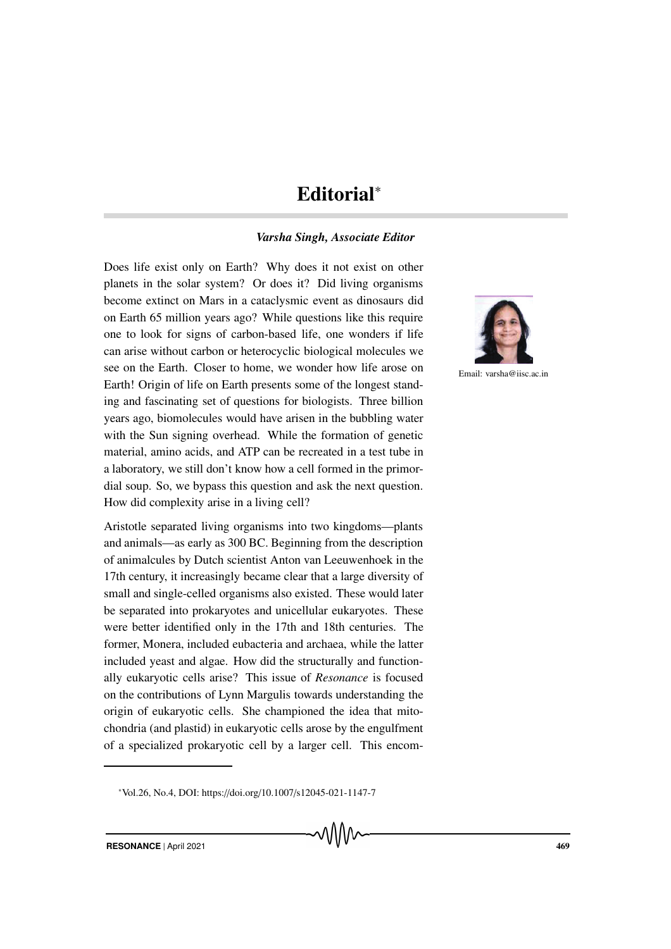## Editorial<sup>∗</sup>

## *Varsha Singh, Associate Editor*

Does life exist only on Earth? Why does it not exist on other planets in the solar system? Or does it? Did living organisms become extinct on Mars in a cataclysmic event as dinosaurs did on Earth 65 million years ago? While questions like this require one to look for signs of carbon-based life, one wonders if life can arise without carbon or heterocyclic biological molecules we see on the Earth. Closer to home, we wonder how life arose on Earth! Origin of life on Earth presents some of the longest standing and fascinating set of questions for biologists. Three billion years ago, biomolecules would have arisen in the bubbling water with the Sun signing overhead. While the formation of genetic material, amino acids, and ATP can be recreated in a test tube in a laboratory, we still don't know how a cell formed in the primordial soup. So, we bypass this question and ask the next question. How did complexity arise in a living cell?

Aristotle separated living organisms into two kingdoms—plants and animals—as early as 300 BC. Beginning from the description of animalcules by Dutch scientist Anton van Leeuwenhoek in the 17th century, it increasingly became clear that a large diversity of small and single-celled organisms also existed. These would later be separated into prokaryotes and unicellular eukaryotes. These were better identified only in the 17th and 18th centuries. The former, Monera, included eubacteria and archaea, while the latter included yeast and algae. How did the structurally and functionally eukaryotic cells arise? This issue of *Resonance* is focused on the contributions of Lynn Margulis towards understanding the origin of eukaryotic cells. She championed the idea that mitochondria (and plastid) in eukaryotic cells arose by the engulfment of a specialized prokaryotic cell by a larger cell. This encom-



Email: varsha@iisc.ac.in

<sup>∗</sup>Vol.26, No.4, DOI: https://doi.org/10.1007/s12045-021-1147-7